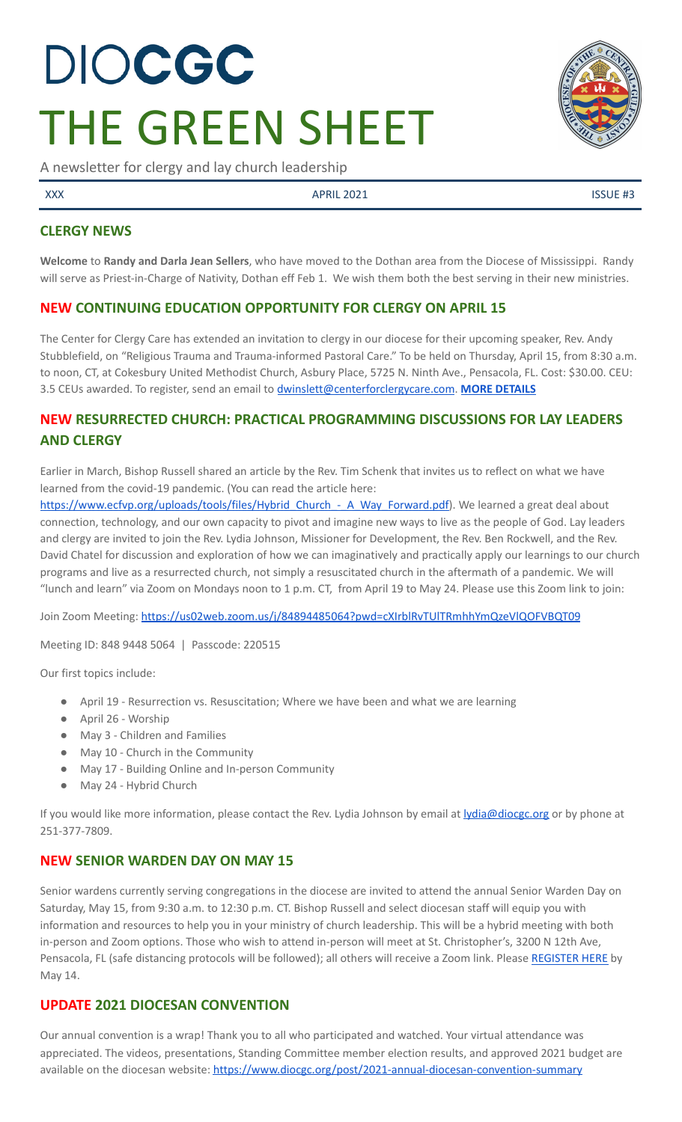# DIOCGC THE GREEN SHEET

A newsletter for clergy and lay church leadership

 $\lambda$ XXX ISSUE #3

## **CLERGY NEWS**

**Welcome** to **Randy and Darla Jean Sellers**, who have moved to the Dothan area from the Diocese of Mississippi. Randy will serve as Priest-in-Charge of Nativity, Dothan eff Feb 1. We wish them both the best serving in their new ministries.

## **NEW CONTINUING EDUCATION OPPORTUNITY FOR CLERGY ON APRIL 15**

The Center for Clergy Care has extended an invitation to clergy in our diocese for their upcoming speaker, Rev. Andy Stubblefield, on "Religious Trauma and Trauma-informed Pastoral Care." To be held on Thursday, April 15, from 8:30 a.m. to noon, CT, at Cokesbury United Methodist Church, Asbury Place, 5725 N. Ninth Ave., Pensacola, FL. Cost: \$30.00. CEU: 3.5 CEUs awarded. To register, send an email to [dwinslett@centerforclergycare.com](mailto:dwinslett@centerforclergycare.com). **MORE [DETAILS](https://conta.cc/3ddH9x7)**

# **NEW RESURRECTED CHURCH: PRACTICAL PROGRAMMING DISCUSSIONS FOR LAY LEADERS AND CLERGY**

Earlier in March, Bishop Russell shared an article by the Rev. Tim Schenk that invites us to reflect on what we have learned from the covid-19 pandemic. (You can read the article here:

[https://www.ecfvp.org/uploads/tools/files/Hybrid\\_Church\\_-\\_A\\_Way\\_Forward.pdf](https://www.ecfvp.org/uploads/tools/files/Hybrid_Church_-_A_Way_Forward.pdf)). We learned a great deal about connection, technology, and our own capacity to pivot and imagine new ways to live as the people of God. Lay leaders and clergy are invited to join the Rev. Lydia Johnson, Missioner for Development, the Rev. Ben Rockwell, and the Rev. David Chatel for discussion and exploration of how we can imaginatively and practically apply our learnings to our church programs and live as a resurrected church, not simply a resuscitated church in the aftermath of a pandemic. We will "lunch and learn" via Zoom on Mondays noon to 1 p.m. CT, from April 19 to May 24. Please use this Zoom link to join:

Join Zoom Meeting: <https://us02web.zoom.us/j/84894485064?pwd=cXIrblRvTUlTRmhhYmQzeVlQOFVBQT09>

Meeting ID: 848 9448 5064 | Passcode: 220515

Our first topics include:

- April 19 Resurrection vs. Resuscitation; Where we have been and what we are learning
- April 26 Worship
- May 3 Children and Families
- May 10 Church in the Community
- May 17 Building Online and In-person Community
- May 24 Hybrid Church

If you would like more information, please contact the Rev. Lydia Johnson by email at *[lydia@diocgc.org](mailto:lydia@diocgc.org)* or by phone at 251-377-7809.

## **NEW SENIOR WARDEN DAY ON MAY 15**

Senior wardens currently serving congregations in the diocese are invited to attend the annual Senior Warden Day on Saturday, May 15, from 9:30 a.m. to 12:30 p.m. CT. Bishop Russell and select diocesan staff will equip you with information and resources to help you in your ministry of church leadership. This will be a hybrid meeting with both in-person and Zoom options. Those who wish to attend in-person will meet at St. Christopher's, 3200 N 12th Ave, Pensacola, FL (safe distancing protocols will be followed); all others will receive a Zoom link. Please [REGISTER](https://forms.gle/9nZqrS2hJCbLsiZE8) HERE by May 14.

## **UPDATE 2021 DIOCESAN CONVENTION**

Our annual convention is a wrap! Thank you to all who participated and watched. Your virtual attendance was appreciated. The videos, presentations, Standing Committee member election results, and approved 2021 budget are available on the diocesan website: <https://www.diocgc.org/post/2021-annual-diocesan-convention-summary>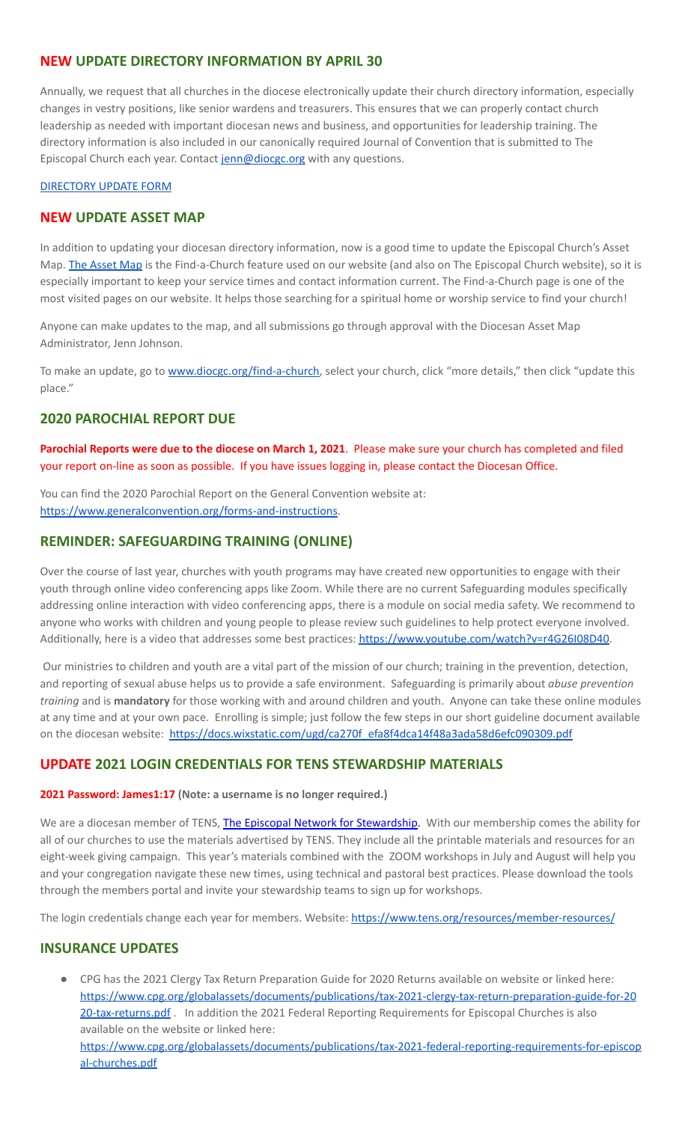## **NEW UPDATE DIRECTORY INFORMATION BY APRIL 30**

Annually, we request that all churches in the diocese electronically update their church directory information, especially changes in vestry positions, like senior wardens and treasurers. This ensures that we can properly contact church leadership as needed with important diocesan news and business, and opportunities for leadership training. The directory information is also included in our canonically required Journal of Convention that is submitted to The Episcopal Church each year. Contact [jenn@diocgc.org](mailto:jenn@diocgc.org) with any questions.

#### [DIRECTORY](https://www.emailmeform.com/builder/form/eji270wUd6T49) UPDATE FORM

#### **NEW UPDATE ASSET MAP**

In addition to updating your diocesan directory information, now is a good time to update the Episcopal Church's Asset Map. The [Asset](https://www.episcopalassetmap.org/) Map is the Find-a-Church feature used on our website (and also on The Episcopal Church website), so it is especially important to keep your service times and contact information current. The Find-a-Church page is one of the most visited pages on our website. It helps those searching for a spiritual home or worship service to find your church!

Anyone can make updates to the map, and all submissions go through approval with the Diocesan Asset Map Administrator, Jenn Johnson.

To make an update, go to [www.diocgc.org/find-a-church,](http://www.diocgc.org/find-a-church) select your church, click "more details," then click "update this place."

#### **2020 PAROCHIAL REPORT DUE**

**Parochial Reports were due to the diocese on March 1, 2021**. Please make sure your church has completed and filed your report on-line as soon as possible. If you have issues logging in, please contact the Diocesan Office.

You can find the 2020 Parochial Report on the General Convention website at: <https://www.generalconvention.org/forms-and-instructions>.

#### **REMINDER: SAFEGUARDING TRAINING (ONLINE)**

Over the course of last year, churches with youth programs may have created new opportunities to engage with their youth through online video conferencing apps like Zoom. While there are no current Safeguarding modules specifically addressing online interaction with video conferencing apps, there is a module on social media safety. We recommend to anyone who works with children and young people to please review such guidelines to help protect everyone involved. Additionally, here is a video that addresses some best practices: [https://www.youtube.com/watch?v=r4G26I08D40.](https://www.youtube.com/watch?v=r4G26I08D40)

Our ministries to children and youth are a vital part of the mission of our church; training in the prevention, detection, and reporting of sexual abuse helps us to provide a safe environment. Safeguarding is primarily about *abuse prevention training* and is **mandatory** for those working with and around children and youth. Anyone can take these online modules at any time and at your own pace. Enrolling is simple; just follow the few steps in our short guideline document available on the diocesan website: [https://docs.wixstatic.com/ugd/ca270f\\_efa8f4dca14f48a3ada58d6efc090309.pdf](https://docs.wixstatic.com/ugd/ca270f_efa8f4dca14f48a3ada58d6efc090309.pdf)

## **UPDATE 2021 LOGIN CREDENTIALS FOR TENS STEWARDSHIP MATERIALS**

#### **2021 Password: James1:17 (Note: a username is no longer required.)**

We are a diocesan member of TENS, The Episcopal Network for [Stewardship.](http://r20.rs6.net/tn.jsp?f=0012pqt_t4bfTKnRF8Xmufb-M4Ry8JkNpVzuf-DfMr466n2fJlrEabEgWXavWDn2Hx3i5ph5cMsQu0KkvBM2IIao7IcazXgBLtGdZrXLuo4poO7i2eq_EiuExGDSC-wd1a3AjKcDRDPj18=&c=9_JBIUfw9Y9WIzA02dVBmW_Dc5eF3SbOEA5-vLB-MbLj0nQWfaMvNg==&ch=bNQQUmRhILUjCbu1RkHCQ0rqqsD1-RBYprcIQ3NuhLlaKPcsXS1TyQ==) With our membership comes the ability for all of our churches to use the materials advertised by TENS. They include all the printable materials and resources for an eight-week giving campaign. This year's materials combined with the ZOOM workshops in July and August will help you and your congregation navigate these new times, using technical and pastoral best practices. Please download the tools through the members portal and invite your stewardship teams to sign up for workshops.

The login credentials change each year for members. Website: <https://www.tens.org/resources/member-resources/>

#### **INSURANCE UPDATES**

● CPG has the 2021 Clergy Tax Return Preparation Guide for 2020 Returns available on website or linked here: [https://www.cpg.org/globalassets/documents/publications/tax-2021-clergy-tax-return-preparation-guide-for-20](https://www.cpg.org/globalassets/documents/publications/tax-2021-clergy-tax-return-preparation-guide-for-2020-tax-returns.pdf) [20-tax-returns.pdf](https://www.cpg.org/globalassets/documents/publications/tax-2021-clergy-tax-return-preparation-guide-for-2020-tax-returns.pdf) . In addition the 2021 Federal Reporting Requirements for Episcopal Churches is also available on the website or linked here: [https://www.cpg.org/globalassets/documents/publications/tax-2021-federal-reporting-requirements-for-episcop](https://www.cpg.org/globalassets/documents/publications/tax-2021-federal-reporting-requirements-for-episcopal-churches.pdf) [al-churches.pdf](https://www.cpg.org/globalassets/documents/publications/tax-2021-federal-reporting-requirements-for-episcopal-churches.pdf)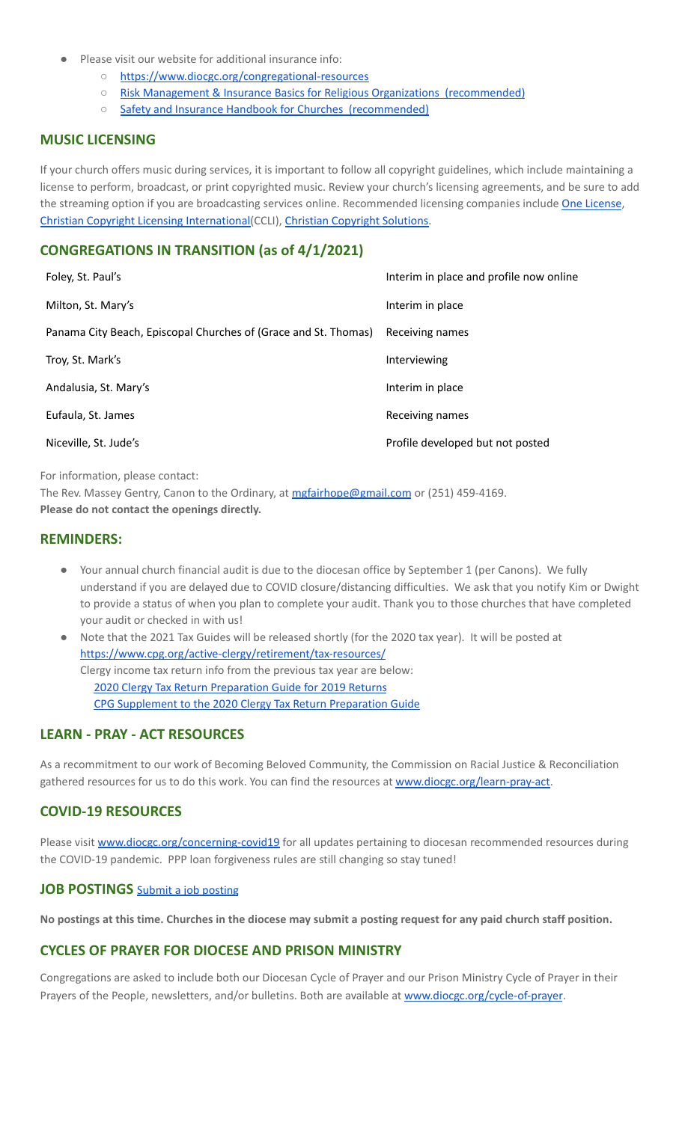- Please visit our website for additional insurance info:
	- <https://www.diocgc.org/congregational-resources>
	- Risk Management & Insurance Basics for Religious Organizations [\(recommended\)](https://2f23db9c-81c0-437f-88c1-0d3b99fdb03d.filesusr.com/ugd/ca270f_0fc945a39bad470191c4075c97602c08.pdf)
	- Safety and Insurance Handbook for Churches [\(recommended\)](https://2f23db9c-81c0-437f-88c1-0d3b99fdb03d.filesusr.com/ugd/4525a9_6b89020a60b040f49e2f7feb44b56873.pdf)

#### **MUSIC LICENSING**

If your church offers music during services, it is important to follow all copyright guidelines, which include maintaining a license to perform, broadcast, or print copyrighted music. Review your church's licensing agreements, and be sure to add the streaming option if you are broadcasting services online. Recommended licensing companies include One [License](https://onelicense.net/), Christian Copyright Licensing [International\(](https://us.ccli.com/)CCLI), Christian [Copyright](https://christiancopyrightsolutions.com/) Solutions.

## **CONGREGATIONS IN TRANSITION (as of 4/1/2021)**

| Foley, St. Paul's                                               | Interim in place and profile now online |
|-----------------------------------------------------------------|-----------------------------------------|
| Milton, St. Mary's                                              | Interim in place                        |
| Panama City Beach, Episcopal Churches of (Grace and St. Thomas) | Receiving names                         |
| Troy, St. Mark's                                                | Interviewing                            |
| Andalusia, St. Mary's                                           | Interim in place                        |
| Eufaula, St. James                                              | Receiving names                         |
| Niceville, St. Jude's                                           | Profile developed but not posted        |
|                                                                 |                                         |

For information, please contact:

The Rev. Massey Gentry, Canon to the Ordinary, at [mgfairhope@gmail.com](mailto:mgfairhope@gmail.com) or (251) 459-4169. **Please do not contact the openings directly.**

#### **REMINDERS:**

- Your annual church financial audit is due to the diocesan office by September 1 (per Canons). We fully understand if you are delayed due to COVID closure/distancing difficulties. We ask that you notify Kim or Dwight to provide a status of when you plan to complete your audit. Thank you to those churches that have completed your audit or checked in with us!
- Note that the 2021 Tax Guides will be released shortly (for the 2020 tax year). It will be posted at <https://www.cpg.org/active-clergy/retirement/tax-resources/> Clergy income tax return info from the previous tax year are below: 2020 Clergy Tax Return [Preparation](https://www.cpg.org/linkservid/D998735C-CE21-6189-EB815B133ECD868A/showMeta/0/?label=2020%20Clergy%20Tax%20Return%20Preparation%20Guide%20for%202019%20Tax%20Returns) Guide for 2019 Returns CPG [Supplement](https://www.cpg.org/linkservid/DA0301BC-D8CF-06D3-C4C6BAB106394432/showMeta/0/?label=Supplement%20to%20the%202020%20Clergy%20Tax%20Return%20Preparation%20Guide%20for%202019%20Returns) to the 2020 Clergy Tax Return Preparation Guide

## **LEARN - PRAY - ACT RESOURCES**

As a recommitment to our work of Becoming Beloved Community, the Commission on Racial Justice & Reconciliation gathered resources for us to do this work. You can find the resources at [www.diocgc.org/learn-pray-act.](http://www.diocgcorg/learn-pray-act)

## **COVID-19 RESOURCES**

Please visit [www.diocgc.org/concerning-covid19](http://www.diocgc.org/concerning-covid19) for all updates pertaining to diocesan recommended resources during the COVID-19 pandemic. PPP loan forgiveness rules are still changing so stay tuned!

#### **JOB POSTINGS** Submit a job [posting](https://www.emailmeform.com/builder/form/0cZqC653GdH24p01aWQDfUh)

No postings at this time. Churches in the diocese may submit a posting request for any paid church staff position.

## **CYCLES OF PRAYER FOR DIOCESE AND PRISON MINISTRY**

Congregations are asked to include both our Diocesan Cycle of Prayer and our Prison Ministry Cycle of Prayer in their Prayers of the People, newsletters, and/or bulletins. Both are available at [www.diocgc.org/cycle-of-prayer](http://www.diocgc.org/cycle-of-prayer).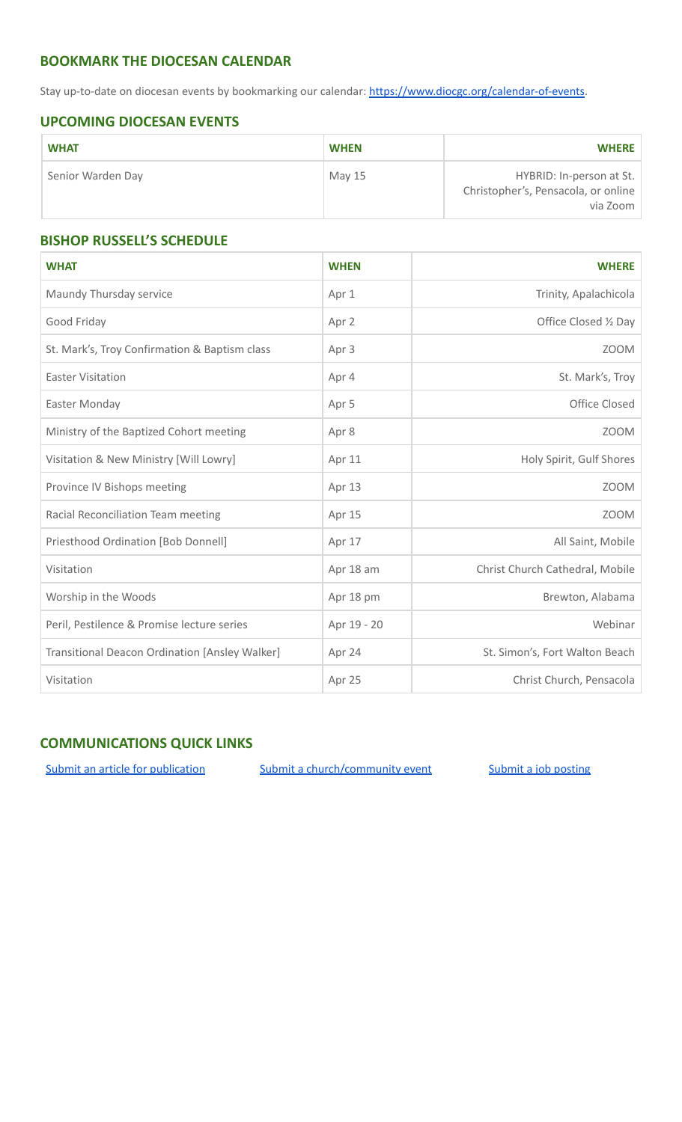## **BOOKMARK THE DIOCESAN CALENDAR**

Stay up-to-date on diocesan events by bookmarking our calendar: [https://www.diocgc.org/calendar-of-events.](https://www.diocgc.org/calendar-of-events)

## **UPCOMING DIOCESAN EVENTS**

| <b>WHAT</b>       | <b>WHEN</b> | <b>WHERE</b>                                                                |
|-------------------|-------------|-----------------------------------------------------------------------------|
| Senior Warden Day | May 15      | HYBRID: In-person at St.<br>Christopher's, Pensacola, or online<br>via Zoom |

## **BISHOP RUSSELL'S SCHEDULE**

| <b>WHAT</b>                                    | <b>WHEN</b> | <b>WHERE</b>                    |  |
|------------------------------------------------|-------------|---------------------------------|--|
| Maundy Thursday service                        | Apr 1       | Trinity, Apalachicola           |  |
| Good Friday                                    | Apr 2       | Office Closed 1/2 Day           |  |
| St. Mark's, Troy Confirmation & Baptism class  | Apr 3       | <b>ZOOM</b>                     |  |
| <b>Easter Visitation</b>                       | Apr 4       | St. Mark's, Troy                |  |
| Easter Monday                                  | Apr 5       | Office Closed                   |  |
| Ministry of the Baptized Cohort meeting        | Apr 8       | <b>ZOOM</b>                     |  |
| Visitation & New Ministry [Will Lowry]         | Apr 11      | Holy Spirit, Gulf Shores        |  |
| Province IV Bishops meeting                    | Apr 13      | <b>ZOOM</b>                     |  |
| Racial Reconciliation Team meeting             | Apr 15      | <b>ZOOM</b>                     |  |
| Priesthood Ordination [Bob Donnell]            | Apr 17      | All Saint, Mobile               |  |
| Visitation                                     | Apr 18 am   | Christ Church Cathedral, Mobile |  |
| Worship in the Woods                           | Apr 18 pm   | Brewton, Alabama                |  |
| Peril, Pestilence & Promise lecture series     | Apr 19 - 20 | Webinar                         |  |
| Transitional Deacon Ordination [Ansley Walker] | Apr 24      | St. Simon's, Fort Walton Beach  |  |
| Visitation                                     | Apr 25      | Christ Church, Pensacola        |  |

## **COMMUNICATIONS QUICK LINKS**

Submit an article for [publication](http://www.emailmeform.com/builder/form/XqOP984Ae60c8m6ynr) Submit a [church/community](http://www.emailmeform.com/builder/form/eOM4Bb6VTb78y20Wrapf8) event Submit a job [posting](https://www.emailmeform.com/builder/form/0cZqC653GdH24p01aWQDfUh)